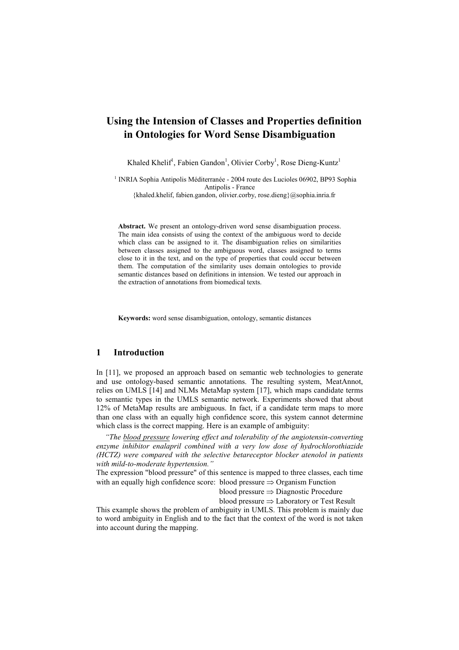# Using the Intension of Classes and Properties definition in Ontologies for Word Sense Disambiguation

Khaled Khelif<sup>1</sup>, Fabien Gandon<sup>1</sup>, Olivier Corby<sup>1</sup>, Rose Dieng-Kuntz<sup>1</sup>

<sup>1</sup> INRIA Sophia Antipolis Méditerranée - 2004 route des Lucioles 06902, BP93 Sophia Antipolis - France

{khaled.khelif, fabien.gandon, olivier.corby, rose.dieng}@sophia.inria.fr

Abstract. We present an ontology-driven word sense disambiguation process. The main idea consists of using the context of the ambiguous word to decide which class can be assigned to it. The disambiguation relies on similarities between classes assigned to the ambiguous word, classes assigned to terms close to it in the text, and on the type of properties that could occur between them. The computation of the similarity uses domain ontologies to provide semantic distances based on definitions in intension. We tested our approach in the extraction of annotations from biomedical texts.

Keywords: word sense disambiguation, ontology, semantic distances

#### 1 Introduction

In [11], we proposed an approach based on semantic web technologies to generate and use ontology-based semantic annotations. The resulting system, MeatAnnot, relies on UMLS [14] and NLMs MetaMap system [17], which maps candidate terms to semantic types in the UMLS semantic network. Experiments showed that about 12% of MetaMap results are ambiguous. In fact, if a candidate term maps to more than one class with an equally high confidence score, this system cannot determine which class is the correct mapping. Here is an example of ambiguity:

*"The blood pressure lowering effect and tolerability of the angiotensin-converting enzyme inhibitor enalapril combined with a very low dose of hydrochlorothiazide (HCTZ) were compared with the selective betareceptor blocker atenolol in patients with mild-to-moderate hypertension."* 

The expression "blood pressure" of this sentence is mapped to three classes, each time with an equally high confidence score: blood pressure ⇒ Organism Function

blood pressure ⇒ Diagnostic Procedure

blood pressure ⇒ Laboratory or Test Result

This example shows the problem of ambiguity in UMLS. This problem is mainly due to word ambiguity in English and to the fact that the context of the word is not taken into account during the mapping.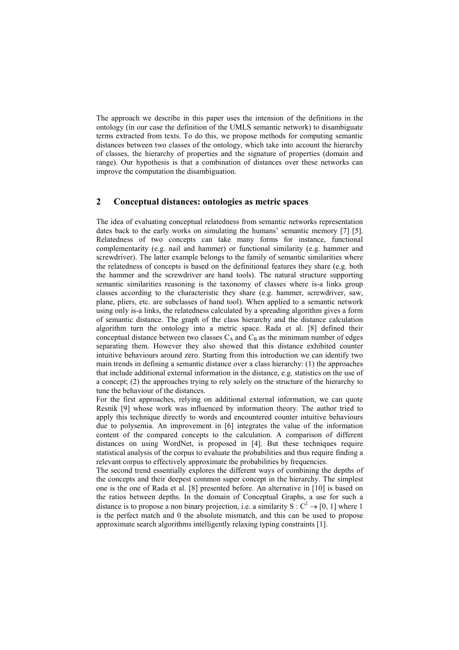The approach we describe in this paper uses the intension of the definitions in the ontology (in our case the definition of the UMLS semantic network) to disambiguate terms extracted from texts. To do this, we propose methods for computing semantic distances between two classes of the ontology, which take into account the hierarchy of classes, the hierarchy of properties and the signature of properties (domain and range). Our hypothesis is that a combination of distances over these networks can improve the computation the disambiguation.

## 2 Conceptual distances: ontologies as metric spaces

The idea of evaluating conceptual relatedness from semantic networks representation dates back to the early works on simulating the humans' semantic memory [7] [5]. Relatedness of two concepts can take many forms for instance, functional complementarity (e.g. nail and hammer) or functional similarity (e.g. hammer and screwdriver). The latter example belongs to the family of semantic similarities where the relatedness of concepts is based on the definitional features they share (e.g. both the hammer and the screwdriver are hand tools). The natural structure supporting semantic similarities reasoning is the taxonomy of classes where is-a links group classes according to the characteristic they share (e.g. hammer, screwdriver, saw, plane, pliers, etc. are subclasses of hand tool). When applied to a semantic network using only is-a links, the relatedness calculated by a spreading algorithm gives a form of semantic distance. The graph of the class hierarchy and the distance calculation algorithm turn the ontology into a metric space. Rada et al. [8] defined their conceptual distance between two classes  $C_A$  and  $C_B$  as the minimum number of edges separating them. However they also showed that this distance exhibited counter intuitive behaviours around zero. Starting from this introduction we can identify two main trends in defining a semantic distance over a class hierarchy: (1) the approaches that include additional external information in the distance, e.g. statistics on the use of a concept; (2) the approaches trying to rely solely on the structure of the hierarchy to tune the behaviour of the distances.

For the first approaches, relying on additional external information, we can quote Resnik [9] whose work was influenced by information theory. The author tried to apply this technique directly to words and encountered counter intuitive behaviours due to polysemia. An improvement in [6] integrates the value of the information content of the compared concepts to the calculation. A comparison of different distances on using WordNet, is proposed in [4]. But these techniques require statistical analysis of the corpus to evaluate the probabilities and thus require finding a relevant corpus to effectively approximate the probabilities by frequencies.

The second trend essentially explores the different ways of combining the depths of the concepts and their deepest common super concept in the hierarchy. The simplest one is the one of Rada et al. [8] presented before. An alternative in [10] is based on the ratios between depths. In the domain of Conceptual Graphs, a use for such a distance is to propose a non binary projection, i.e. a similarity  $S: C^2 \to [0, 1]$  where 1 is the perfect match and 0 the absolute mismatch, and this can be used to propose approximate search algorithms intelligently relaxing typing constraints [1].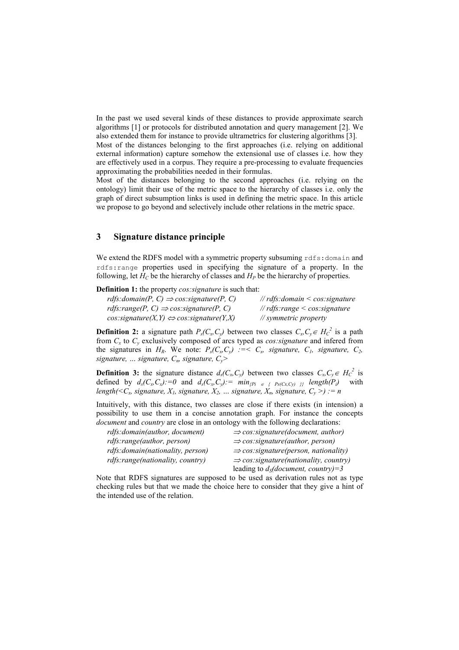In the past we used several kinds of these distances to provide approximate search algorithms [1] or protocols for distributed annotation and query management [2]. We also extended them for instance to provide ultrametrics for clustering algorithms [3]. Most of the distances belonging to the first approaches (i.e. relying on additional external information) capture somehow the extensional use of classes i.e. how they are effectively used in a corpus. They require a pre-processing to evaluate frequencies approximating the probabilities needed in their formulas.

Most of the distances belonging to the second approaches (i.e. relying on the ontology) limit their use of the metric space to the hierarchy of classes i.e. only the graph of direct subsumption links is used in defining the metric space. In this article we propose to go beyond and selectively include other relations in the metric space.

## 3 Signature distance principle

We extend the RDFS model with a symmetric property subsuming rdfs: domain and rdfs:range properties used in specifying the signature of a property. In the following, let  $H_C$  be the hierarchy of classes and  $H_P$  be the hierarchy of properties.

Definition 1: the property *cos:signature* is such that:

| $rdfs:domain(P, C) \implies cos: signature(P, C)$           | // $rdfs:domain < cos:signature$ |
|-------------------------------------------------------------|----------------------------------|
| $rdfs:range(P, C) \implies cos: signature(P, C)$            | // $rdfs:range < cos:signature$  |
| $cos: signature(X, Y) \Leftrightarrow cos: signature(Y, X)$ | $\mathcal{N}$ symmetric property |

**Definition 2:** a signature path  $P_s(C_s, C_y)$  between two classes  $C_s, C_y \in H_c^2$  is a path from *C<sup>x</sup>* to *C<sup>y</sup>* exclusively composed of arcs typed as *cos:signature* and infered from the signatures in  $H_R$ . We note:  $P_s(C_x, C_y)$  :=<  $C_x$  signature,  $C_l$ , signature,  $C_2$ , *signature, ... signature,*  $C_n$ *, signature,*  $C_v$ *>* 

**Definition 3:** the signature distance  $d_s(C_x, C_y)$  between two classes  $C_x, C_y \in H_c^2$  is defined by  $d_s(C_x, C_x) := 0$  and  $d_s(C_x, C_y) := min_{\{P: i \in \{P : s(C_x, C_y) \} \}}$  length(P<sub>i</sub>) with *length(* $\lt C_x$ , signature,  $X_l$ , signature,  $X_2$ , ... signature,  $X_n$ , signature,  $C_y \gt)$  := n

Intuitively, with this distance, two classes are close if there exists (in intension) a possibility to use them in a concise annotation graph. For instance the concepts *document* and *country* are close in an ontology with the following declarations:

| rdfs:domain(author, document)    | $\Rightarrow$ cos: signature(document, author)     |
|----------------------------------|----------------------------------------------------|
| rdfs:range(author, person)       | $\Rightarrow$ cos: signature(author, person)       |
| rdfs:domain(nationality, person) | $\Rightarrow$ cos: signature(person, nationality)  |
| rdfs:range(nationality, country) | $\Rightarrow$ cos: signature(nationality, country) |
|                                  | leading to $d_S$ ( <i>document, country</i> )=3    |

Note that RDFS signatures are supposed to be used as derivation rules not as type checking rules but that we made the choice here to consider that they give a hint of the intended use of the relation.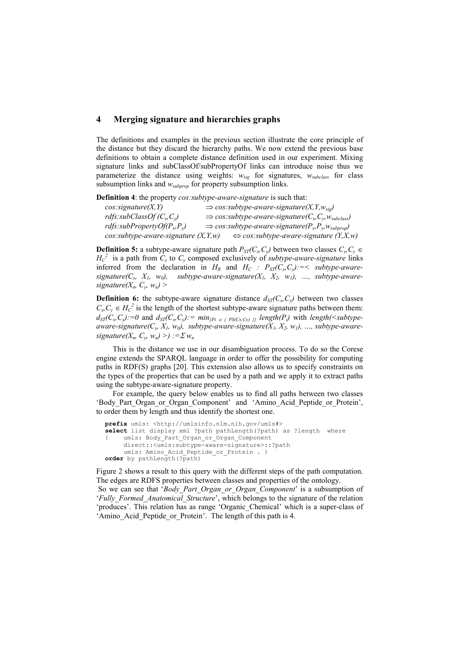#### 4 Merging signature and hierarchies graphs

The definitions and examples in the previous section illustrate the core principle of the distance but they discard the hierarchy paths. We now extend the previous base definitions to obtain a complete distance definition used in our experiment. Mixing signature links and subClassOf/subPropertyOf links can introduce noise thus we parameterize the distance using weights: *wsig* for signatures, *wsubclass* for class subsumption links and *wsubprop* for property subsumption links.

Definition 4: the property *cos:subtype-aware-signature* is such that:

| cos: signature(X, Y)                       | $\Rightarrow$ cos:subtype-aware-signature(X, Y, $w_{sig}$ )                  |
|--------------------------------------------|------------------------------------------------------------------------------|
| $r$ dfs:subClassOf ( $C_x$ , $C_y$ )       | $\Rightarrow$ cos:subtype-aware-signature( $C_x, C_y, w_{\text{subclass}}$ ) |
| rdfs:subPropertyOf( $P_x, P_y$ )           | $\Rightarrow$ cos:subtype-aware-signature( $P_x, P_y, w_{subprop}$ )         |
| $cos:$ subtype-aware-signature $(X, Y, w)$ | $\Leftrightarrow$ cos:subtype-aware-signature (Y,X,w)                        |

**Definition 5:** a subtype-aware signature path  $P_{ST}(C_x, C_y)$  between two classes  $C_x, C_y \in$  $H_c^2$  is a path from  $C_x$  to  $C_y$  composed exclusively of *subtype-aware-signature* links inferred from the declaration in  $H_R$  and  $H_C$  :  $P_{ST}(C_x, C_y)$ :  $\leq$  *subtype-awaresignature*( $C_x$ ,  $X_l$ ,  $w_0$ ),  $subtype-aware-signature(X_1, X_2, w_1)$ , …, subtype-aware $signature(X_n, C_y, w_n)$ 

**Definition 6:** the subtype-aware signature distance  $d_{ST}(C_x, C_y)$  between two classes  $C_x C_y \in H_C^2$  is the length of the shortest subtype-aware signature paths between them:  $d_{ST}(C_x,C_y)$ :=0 and  $d_{ST}(C_x,C_y)$ :=  $min_{\{Pi \in \{P : P S (C_x,C_y) \}\}}$  length(P<sub>i</sub>) with length(<subtype*aware-signature(C<sub>x</sub></sub> X<sub>1</sub>, w<sub>0</sub>), subtype-aware-signature(X<sub>1</sub>, X<sub>2</sub>, w<sub>1</sub>), ..., subtype-awaresignature*( $X_n$ ,  $C_y$ ,  $w_n$ ) >) := $\sum w_n$ 

This is the distance we use in our disambiguation process. To do so the Corese engine extends the SPARQL language in order to offer the possibility for computing paths in RDF(S) graphs [20]. This extension also allows us to specify constraints on the types of the properties that can be used by a path and we apply it to extract paths using the subtype-aware-signature property.

For example, the query below enables us to find all paths between two classes 'Body\_Part\_Organ\_or\_Organ\_Component' and 'Amino\_Acid\_Peptide\_or\_Protein', to order them by length and thus identify the shortest one.

```
prefix umls: <http://umlsinfo.nlm.nih.gov/umls#> 
select list display xml ?path pathLength(?path) as ?length where
{ umls: Body_Part_Organ_or_Organ_Component 
      direct::<umls:subtype-aware-signature>::?path 
     umls: Amino Acid Peptide or Protein . }
order by pathLength(?path)
```
Figure 2 shows a result to this query with the different steps of the path computation. The edges are RDFS properties between classes and properties of the ontology.

 So we can see that '*Body\_Part\_Organ\_or\_Organ\_Component*' is a subsumption of '*Fully\_Formed\_Anatomical\_Structure*', which belongs to the signature of the relation 'produces'. This relation has as range 'Organic\_Chemical' which is a super-class of 'Amino\_Acid\_Peptide\_or\_Protein'. The length of this path is 4.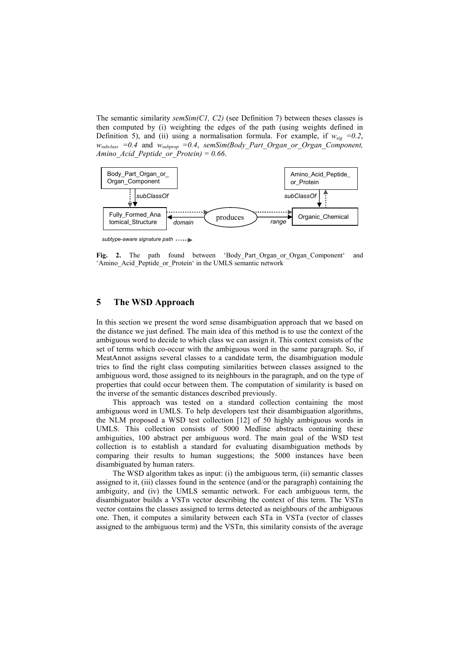The semantic similarity *semSim(C1, C2)* (see Definition 7) between theses classes is then computed by (i) weighting the edges of the path (using weights defined in Definition 5), and (ii) using a normalisation formula. For example, if  $w_{\text{sig}} = 0.2$ , *wsubclass =0.4* and *wsubprop =0.4*, *semSim(Body\_Part\_Organ\_or\_Organ\_Component, Amino\_Acid\_Peptide\_or\_Protein) = 0.66*.



subtype-aware signature path  $\cdots$ 

Fig. 2. The path found between 'Body Part Organ or Organ Component' and 'Amino\_Acid\_Peptide\_or\_Protein' in the UMLS semantic network

# 5 The WSD Approach

In this section we present the word sense disambiguation approach that we based on the distance we just defined. The main idea of this method is to use the context of the ambiguous word to decide to which class we can assign it. This context consists of the set of terms which co-occur with the ambiguous word in the same paragraph. So, if MeatAnnot assigns several classes to a candidate term, the disambiguation module tries to find the right class computing similarities between classes assigned to the ambiguous word, those assigned to its neighbours in the paragraph, and on the type of properties that could occur between them. The computation of similarity is based on the inverse of the semantic distances described previously.

This approach was tested on a standard collection containing the most ambiguous word in UMLS. To help developers test their disambiguation algorithms, the NLM proposed a WSD test collection [12] of 50 highly ambiguous words in UMLS. This collection consists of 5000 Medline abstracts containing these ambiguities, 100 abstract per ambiguous word. The main goal of the WSD test collection is to establish a standard for evaluating disambiguation methods by comparing their results to human suggestions; the 5000 instances have been disambiguated by human raters.

The WSD algorithm takes as input: (i) the ambiguous term, (ii) semantic classes assigned to it, (iii) classes found in the sentence (and/or the paragraph) containing the ambiguity, and (iv) the UMLS semantic network. For each ambiguous term, the disambiguator builds a VSTn vector describing the context of this term. The VSTn vector contains the classes assigned to terms detected as neighbours of the ambiguous one. Then, it computes a similarity between each STa in VSTa (vector of classes assigned to the ambiguous term) and the VSTn, this similarity consists of the average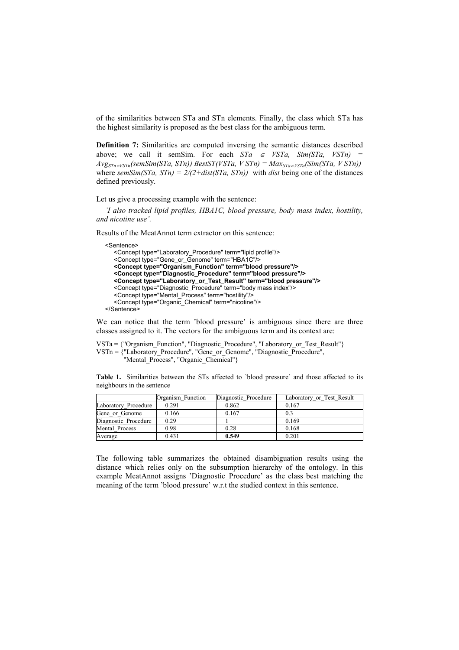of the similarities between STa and STn elements. Finally, the class which STa has the highest similarity is proposed as the best class for the ambiguous term.

Definition 7: Similarities are computed inversing the semantic distances described above; we call it semSim. For each  $STa \in VSTa$ ,  $Sim(STa, VSTn)$  = *AvgSTn*∈*VSTn(semSim(STa, STn)) BestST(VSTa, V STn) = MaxSTa*∈*VSTa(Sim(STa, V STn))*  where  $semSim(STa, STn) = 2/(2+dist(STa, STn))$  with *dist* being one of the distances defined previously.

Let us give a processing example with the sentence:

*'I also tracked lipid profiles, HBA1C, blood pressure, body mass index, hostility, and nicotine use'.*

Results of the MeatAnnot term extractor on this sentence:

```
<Sentence> 
   <Concept type="Laboratory_Procedure" term="lipid profile"/> 
   <Concept type="Gene_or_Genome" term="HBA1C"/> 
   <Concept type="Organism_Function" term="blood pressure"/> 
   <Concept type="Diagnostic_Procedure" term="blood pressure"/> 
   <Concept type="Laboratory_or_Test_Result" term="blood pressure"/> 
   <Concept type="Diagnostic_Procedure" term="body mass index"/> 
   <Concept type="Mental_Process" term="hostility"/> 
   <Concept type="Organic_Chemical" term="nicotine"/> 
</Sentence>
```
We can notice that the term 'blood pressure' is ambiguous since there are three classes assigned to it. The vectors for the ambiguous term and its context are:

 $VSTa = \{ "Organism Function", "Diagnostic Procedure", "Laboratory or Test Result" \}$ VSTn = {"Laboratory\_Procedure", "Gene\_or\_Genome", "Diagnostic\_Procedure", "Mental Process", "Organic Chemical"}

Table 1. Similarities between the STs affected to 'blood pressure' and those affected to its neighbours in the sentence

|                      | Organism Function | Diagnostic Procedure | Laboratory or Test Result |
|----------------------|-------------------|----------------------|---------------------------|
| Laboratory Procedure | 0.291             | 0.862                | 0.167                     |
| Gene or Genome       | 0.166             | 0.167                | 0.3                       |
| Diagnostic Procedure | 0.29              |                      | 0.169                     |
| Mental Process       | 0.98              | 0.28                 | 0.168                     |
| Average              | 0.431             | 0.549                | 0.201                     |

The following table summarizes the obtained disambiguation results using the distance which relies only on the subsumption hierarchy of the ontology. In this example MeatAnnot assigns 'Diagnostic\_Procedure' as the class best matching the meaning of the term 'blood pressure' w.r.t the studied context in this sentence.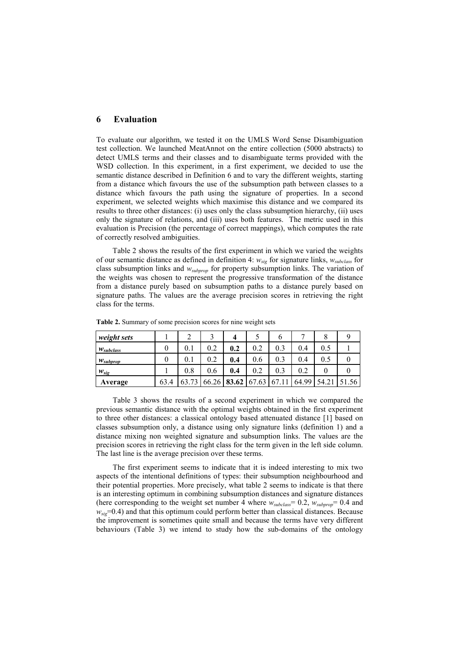#### 6 Evaluation

To evaluate our algorithm, we tested it on the UMLS Word Sense Disambiguation test collection. We launched MeatAnnot on the entire collection (5000 abstracts) to detect UMLS terms and their classes and to disambiguate terms provided with the WSD collection. In this experiment, in a first experiment, we decided to use the semantic distance described in Definition 6 and to vary the different weights, starting from a distance which favours the use of the subsumption path between classes to a distance which favours the path using the signature of properties. In a second experiment, we selected weights which maximise this distance and we compared its results to three other distances: (i) uses only the class subsumption hierarchy, (ii) uses only the signature of relations, and (iii) uses both features. The metric used in this evaluation is Precision (the percentage of correct mappings), which computes the rate of correctly resolved ambiguities.

Table 2 shows the results of the first experiment in which we varied the weights of our semantic distance as defined in definition 4: *wsig* for signature links, *wsubclass* for class subsumption links and *wsubprop* for property subsumption links. The variation of the weights was chosen to represent the progressive transformation of the distance from a distance purely based on subsumption paths to a distance purely based on signature paths. The values are the average precision scores in retrieving the right class for the terms.

| weight sets           |      | ∸         |       |       |         | O     |       |       |        |
|-----------------------|------|-----------|-------|-------|---------|-------|-------|-------|--------|
| $W_{\text{subclass}}$ |      | $\rm 0.1$ | 0.2   | 0.2   | $0.2\,$ | 0.3   | 0.4   |       |        |
| $W_{subprop}$         |      | $\rm 0.1$ | 0.2   | 0.4   | 0.6     | 0.3   | 0.4   | 0.5   |        |
| $W_{sig}$             |      | 0.8       | 0.6   | 0.4   | 0.2     | 0.3   | 0.2   |       |        |
| Average               | 63.4 | 73        | 66.26 | 83.62 | 67.63   | 67.11 | 64.99 | 54.21 | 0.1.56 |

Table 2. Summary of some precision scores for nine weight sets

Table 3 shows the results of a second experiment in which we compared the previous semantic distance with the optimal weights obtained in the first experiment to three other distances: a classical ontology based attenuated distance [1] based on classes subsumption only, a distance using only signature links (definition 1) and a distance mixing non weighted signature and subsumption links. The values are the precision scores in retrieving the right class for the term given in the left side column. The last line is the average precision over these terms.

The first experiment seems to indicate that it is indeed interesting to mix two aspects of the intentional definitions of types: their subsumption neighbourhood and their potential properties. More precisely, what table 2 seems to indicate is that there is an interesting optimum in combining subsumption distances and signature distances (here corresponding to the weight set number 4 where  $w_{subclass} = 0.2$ ,  $w_{subprop} = 0.4$  and  $w_{\rm xio}$ =0.4) and that this optimum could perform better than classical distances. Because the improvement is sometimes quite small and because the terms have very different behaviours (Table 3) we intend to study how the sub-domains of the ontology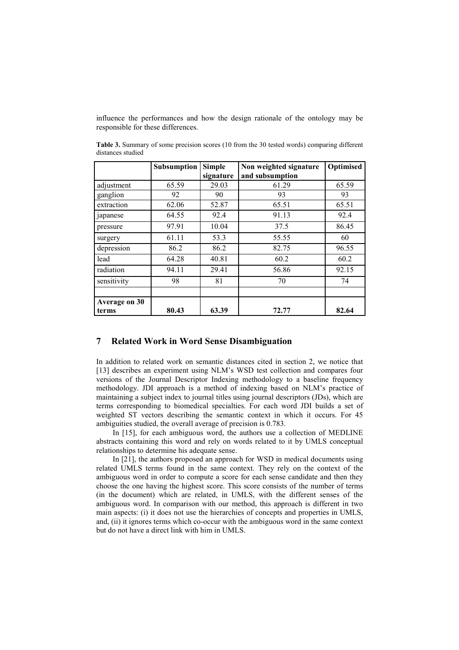influence the performances and how the design rationale of the ontology may be responsible for these differences.

|                               | <b>Subsumption</b> | <b>Simple</b> | Non weighted signature | Optimised |
|-------------------------------|--------------------|---------------|------------------------|-----------|
|                               |                    | signature     | and subsumption        |           |
| adjustment                    | 65.59              | 29.03         | 61.29                  | 65.59     |
| ganglion                      | 92                 | 90            | 93                     | 93        |
| extraction                    | 62.06              | 52.87         | 65.51                  | 65.51     |
| japanese                      | 64.55              | 92.4          | 91.13                  | 92.4      |
| pressure                      | 97.91              | 10.04         | 37.5                   | 86.45     |
| surgery                       | 61.11              | 53.3          | 55.55                  | 60        |
| depression                    | 86.2               | 86.2          | 82.75                  | 96.55     |
| lead                          | 64.28              | 40.81         | 60.2                   | 60.2      |
| radiation                     | 94.11              | 29.41         | 56.86                  | 92.15     |
| sensitivity                   | 98                 | 81            | 70                     | 74        |
| <b>Average on 30</b><br>terms | 80.43              | 63.39         | 72.77                  | 82.64     |

Table 3. Summary of some precision scores (10 from the 30 tested words) comparing different distances studied

## 7 Related Work in Word Sense Disambiguation

In addition to related work on semantic distances cited in section 2, we notice that [13] describes an experiment using NLM's WSD test collection and compares four versions of the Journal Descriptor Indexing methodology to a baseline frequency methodology. JDI approach is a method of indexing based on NLM's practice of maintaining a subject index to journal titles using journal descriptors (JDs), which are terms corresponding to biomedical specialties. For each word JDI builds a set of weighted ST vectors describing the semantic context in which it occurs. For 45 ambiguities studied, the overall average of precision is 0.783.

In [15], for each ambiguous word, the authors use a collection of MEDLINE abstracts containing this word and rely on words related to it by UMLS conceptual relationships to determine his adequate sense.

In [21], the authors proposed an approach for WSD in medical documents using related UMLS terms found in the same context. They rely on the context of the ambiguous word in order to compute a score for each sense candidate and then they choose the one having the highest score. This score consists of the number of terms (in the document) which are related, in UMLS, with the different senses of the ambiguous word. In comparison with our method, this approach is different in two main aspects: (i) it does not use the hierarchies of concepts and properties in UMLS, and, (ii) it ignores terms which co-occur with the ambiguous word in the same context but do not have a direct link with him in UMLS.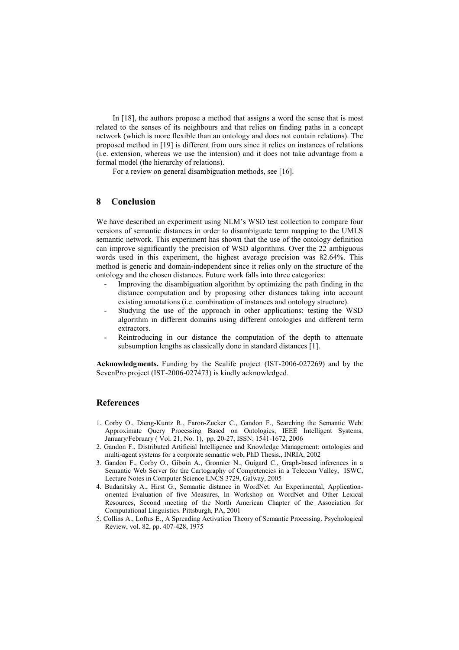In [18], the authors propose a method that assigns a word the sense that is most related to the senses of its neighbours and that relies on finding paths in a concept network (which is more flexible than an ontology and does not contain relations). The proposed method in [19] is different from ours since it relies on instances of relations (i.e. extension, whereas we use the intension) and it does not take advantage from a formal model (the hierarchy of relations).

For a review on general disambiguation methods, see [16].

# 8 Conclusion

We have described an experiment using NLM's WSD test collection to compare four versions of semantic distances in order to disambiguate term mapping to the UMLS semantic network. This experiment has shown that the use of the ontology definition can improve significantly the precision of WSD algorithms. Over the 22 ambiguous words used in this experiment, the highest average precision was 82.64%. This method is generic and domain-independent since it relies only on the structure of the ontology and the chosen distances. Future work falls into three categories:

- Improving the disambiguation algorithm by optimizing the path finding in the distance computation and by proposing other distances taking into account existing annotations (i.e. combination of instances and ontology structure).
- Studying the use of the approach in other applications: testing the WSD algorithm in different domains using different ontologies and different term extractors.
- Reintroducing in our distance the computation of the depth to attenuate subsumption lengths as classically done in standard distances [1].

Acknowledgments. Funding by the Sealife project (IST-2006-027269) and by the SevenPro project (IST-2006-027473) is kindly acknowledged.

# References

- 1. Corby O., Dieng-Kuntz R., Faron-Zucker C., Gandon F., Searching the Semantic Web: Approximate Query Processing Based on Ontologies, IEEE Intelligent Systems, January/February ( Vol. 21, No. 1), pp. 20-27, ISSN: 1541-1672, 2006
- 2. Gandon F., Distributed Artificial Intelligence and Knowledge Management: ontologies and multi-agent systems for a corporate semantic web, PhD Thesis., INRIA, 2002
- 3. Gandon F., Corby O., Giboin A., Gronnier N., Guigard C., Graph-based inferences in a Semantic Web Server for the Cartography of Competencies in a Telecom Valley, ISWC, Lecture Notes in Computer Science LNCS 3729, Galway, 2005
- 4. Budanitsky A., Hirst G., Semantic distance in WordNet: An Experimental, Applicationoriented Evaluation of five Measures, In Workshop on WordNet and Other Lexical Resources, Second meeting of the North American Chapter of the Association for Computational Linguistics. Pittsburgh, PA, 2001
- 5. Collins A., Loftus E., A Spreading Activation Theory of Semantic Processing. Psychological Review, vol. 82, pp. 407-428, 1975